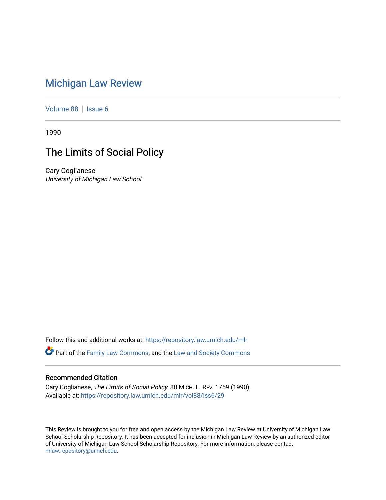## [Michigan Law Review](https://repository.law.umich.edu/mlr)

[Volume 88](https://repository.law.umich.edu/mlr/vol88) | [Issue 6](https://repository.law.umich.edu/mlr/vol88/iss6)

1990

## The Limits of Social Policy

Cary Coglianese University of Michigan Law School

Follow this and additional works at: [https://repository.law.umich.edu/mlr](https://repository.law.umich.edu/mlr?utm_source=repository.law.umich.edu%2Fmlr%2Fvol88%2Fiss6%2F29&utm_medium=PDF&utm_campaign=PDFCoverPages) 

**P** Part of the [Family Law Commons,](http://network.bepress.com/hgg/discipline/602?utm_source=repository.law.umich.edu%2Fmlr%2Fvol88%2Fiss6%2F29&utm_medium=PDF&utm_campaign=PDFCoverPages) and the Law and Society Commons

## Recommended Citation

Cary Coglianese, The Limits of Social Policy, 88 MICH. L. REV. 1759 (1990). Available at: [https://repository.law.umich.edu/mlr/vol88/iss6/29](https://repository.law.umich.edu/mlr/vol88/iss6/29?utm_source=repository.law.umich.edu%2Fmlr%2Fvol88%2Fiss6%2F29&utm_medium=PDF&utm_campaign=PDFCoverPages) 

This Review is brought to you for free and open access by the Michigan Law Review at University of Michigan Law School Scholarship Repository. It has been accepted for inclusion in Michigan Law Review by an authorized editor of University of Michigan Law School Scholarship Repository. For more information, please contact [mlaw.repository@umich.edu.](mailto:mlaw.repository@umich.edu)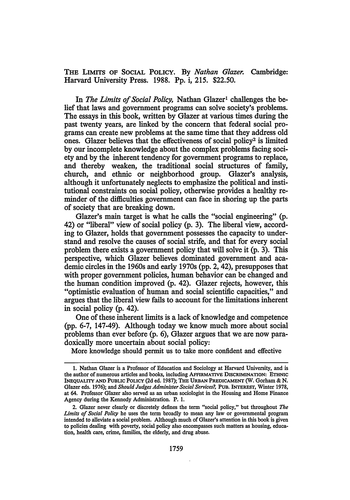THE LIMITS OF SOCIAL POLICY. By *Nathan Glazer.* Cambridge: Harvard University Press. 1988. Pp. i, 215. \$22.50.

In *The Limits of Social Policy*, Nathan Glazer<sup>1</sup> challenges the belief that laws and government programs can solve society's problems. The essays in this book, written by Glazer at various times during the past twenty years, are linked by the concern that federal social programs can create new problems at the same time that they address old ones. Glazer believes that the effectiveness of social policy<sup>2</sup> is limited by our incomplete knowledge about the complex problems facing society and by the inherent tendency for government programs to replace, and thereby weaken, the traditional social structures of family, church, and ethnic or neighborhood group. Glazer's analysis, although it unfortunately neglects to emphasize the political and institutional constraints on social policy, otherwise provides a healthy reminder of the difficulties government can face in shoring up the parts of society that are breaking down.

Glazer's main target is what he calls the "social engineering" (p. 42) or "liberal" view of social policy (p. 3). The liberal view, according to Glazer, holds that government possesses the capacity to understand and resolve the causes of social strife, and that for every social problem there exists a government policy that will solve it (p. 3). This perspective, which Glazer believes dominated government and academic circles in the 1960s and early 1970s (pp. 2, 42), presupposes that with proper government policies, human behavior can be changed and the human condition improved (p. 42). Glazer rejects, however, this "optimistic evaluation of human and social scientific capacities," and argues that the liberal view fails to account for the limitations inherent in social policy (p. 42).

One of these inherent limits is a lack of knowledge and competence (pp. 6-7, 147-49). Although today we know much more about social problems than ever before (p. 6), Glazer argues that we are now paradoxically more uncertain about social policy:

More knowledge should permit us to take more confident and effective

<sup>1.</sup> Nathan Glazer is a Professor of Education and Sociology at Harvard University, and is the author of numerous articles and books, including AFFIRMATIVE DISCRIMINATION: ETHNIC INEQUALITY AND PUBLIC POLICY (2d ed. 1987); THE URBAN PREDICAMENT (W. Gorham & N. Glazer eds. 1976); and *Should Judges Administer Social Services?,* PUB. INTEREST, Winter 1978, at 64. Professor Glazer also served as an urban sociologist in the Housing and Home Finance Agency during the Kennedy Administration. P. 1.

<sup>2.</sup> Glazer never clearly or discretely defines the term "social policy," but throughout *The Limits of Social Policy* he uses the term broadly to mean any law or governmental program intended to alleviate a social problem. Although much of Glazer's attention in this book is given to policies dealing with poverty, social policy also encompasses such matters as housing, education, health care, crime, families, the elderly, and drug abuse.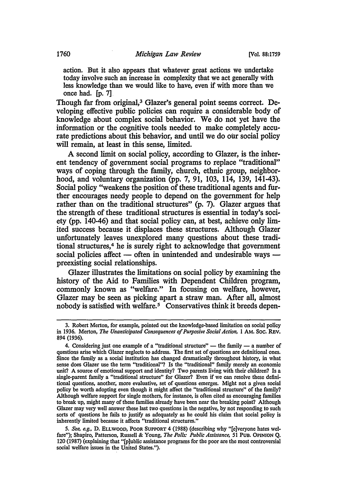action. But it also appears that whatever great actions we undertake today involve such an increase in complexity that we act generally with less knowledge than we would like to have, even if with more than we once had. [p. 7]

Though far from original,<sup>3</sup> Glazer's general point seems correct. Developing effective public policies can require a considerable body of knowledge about complex social behavior. We do not yet have the information or the cognitive tools needed to make completely accurate predictions about this behavior, and until we do our social policy will remain, at least in this sense, limited.

A second limit on social policy, according to Glazer, is the inherent tendency of government social programs to replace "traditional" ways of coping through the family, church, ethnic group, neighborhood, and voluntary organization (pp. 7, 91, 103, 114, 139, 141-43). Social policy "weakens the position of these traditional agents and further encourages needy people to depend on the government for help rather than on the traditional structures" (p. 7). Glazer argues that the strength of these traditional structures is essential in today's society (pp. 140-46) and that social policy can, at best, achieve only limited success because it displaces these structures. Although Glazer unfortunately leaves unexplored many questions about these traditional structures,<sup>4</sup> he is surely right to acknowledge that government social policies affect  $-$  often in unintended and undesirable ways  $$ preexisting social relationships.

Glazer illustrates the limitations on social policy by examining the history of the Aid to Families with Dependent Children program, commonly known as "welfare." In focusing on welfare, however, Glazer may be seen as picking apart a straw man. After all, almost nobody is satisfied with welfare.<sup>5</sup> Conservatives think it breeds depen-

5. *See, e.g.,* D. ELLWOOD, POOR SUPPORT 4 (1988) (describing why "[e)veryone hates welfare"); Shapiro, Patterson, Russell & Young, *The Polls: Public Assistance, Sl* PUB. OPINION Q. 120 (1987) (explaining that "[p]ublic assistance programs for the poor are the most controversial social welfare issues in the United States.").

<sup>3.</sup> Robert Merton, for example, pointed out the knowledge-based limitation on social policy in 1936. Merton, *The Unanticipated Consequences of Purposive Social Action,* 1 AM. Soc. REV. 894 (1936).

<sup>4.</sup> Considering just one example of a "traditional structure"  $-$  the family  $-$  a number of questions arise which Glazer neglects to address. The first set of questions are definitional ones. Since the family as a social institution has changed dramatica11y throughout history, in what sense does Glazer use the term "traditional"? Is the "traditional" family merely an economic unit? A source of emotional support and identity? Two parents living with their children? Is a single-parent family a "traditional structure" for Glazer? Even if we can resolve these definitional questions, another; more evaluative, set of questions emerges. Might not a given social policy be worth adopting even though it might affect the "traditional structure" of the family? Although welfare support for single mothers, for instance, is often cited as encouraging families to break up, might many of these families already have been near the breaking point? Although Glazer may very well answer these last two questions in the negative, by not responding to such sorts of questions he fails to justify as adequately as he could his claim that social policy is inherently limited because it affects "traditional structures."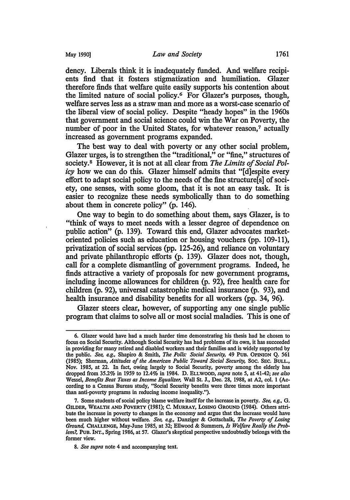dency. Liberals think it is inadequately funded. And welfare recipients find that it fosters stigmatization and humiliation. Glazer therefore finds that welfare quite easily supports his contention about the limited nature of social policy.6 For Glazer's purposes, though, welfare serves less as a straw man and more as a worst-case scenario of the liberal view of social policy. Despite "heady hopes" in the 1960s that government and social science could win the War on Poverty, the number of poor in the United States, for whatever reason,<sup>7</sup> actually increased as government programs expanded.

The best way to deal with poverty or any other social problem, Glazer urges, is to strengthen the "traditional," or "fine," structures of society. 8 However, it is not at all clear from *The Limits of Social Policy* how we can do this. Glazer himself admits that "[d]espite every effort to adapt social policy to the needs of the fine structure[s] of society, one senses, with some gloom, that it is not an easy task. It is easier to recognize these needs symbolically than to do something about them in concrete policy" (p. 146).

One way to begin to do something about them, says Glazer, is to "think of ways to meet needs with a lesser degree of dependence on public action" (p. 139). Toward this end, Glazer advocates marketoriented policies such as education or housing vouchers (pp. 109-11), privatization of social services (pp. 125-26), and reliance on voluntary and private philanthropic efforts (p. 139). Glazer does not, though, call for a complete dismantling of government programs. Indeed, he finds attractive a variety of proposals for new government programs, including income allowances for children (p. 92), free health care for children (p. 92), universal catastrophic medical insurance (p. 93), and health insurance and disability benefits for all workers (pp. 34, 96).

Glazer steers clear, however, of supporting any one single public program that claims to solve all or most social maladies. This is one of

<sup>6.</sup> Glazer would have had a much harder time demonstrating his thesis had he chosen to focus on Social Security. Although Social Security has had problems of its own, it has succeeded in providing for many retired and disabled workers and their families and is widely supported by the public. *See, e.g.,* Shapiro & Smith, *The Polls: Social Security,* 49 PUB. OPINION Q. 561 (1985); Sherman, *Attitudes of the American Public Toward Social Security,* Soc. SEC. BULL., Nov. 1985, at 22. In fact, owing largely to Social Security, poverty among the elderly has dropped from 35.2% in 1959 to 12.4% in 1984. D. ELLWOOD, *supra* note 5, at 41-42; *see also*  Wessel, *Benefits Beat Taxes as Income Equalizer,* Wall St. J., Dec. 28, 1988, at A2, col. 1 (According to a Census Bureau study, "Social Security benefits were three times more important than anti-poverty programs in reducing income inequality.").

<sup>7.</sup> Some students of social policy blame welfare itselffor the increase in poverty. *See, e.g.,* G. GILDER, WEALTH AND POVERTY (1981); c. MURRAY, LoSING GROUND (1984). Others attribute the increase in poverty to changes in the economy and argue that the increase would have been much higher without welfare. *See, e.g.,* Danziger & Gottschalk, *The Poverty of Losing Ground,* CHALLENGE, May-June 1985, at 32; Ellwood & Summers, *Is Welfare Really the Problem?,* PUB. INT., Spring 1986, at 57. Glazer's skeptical perspective undoubtedly belongs with the former view.

<sup>8.</sup> *See supra* note 4 and accompanying text.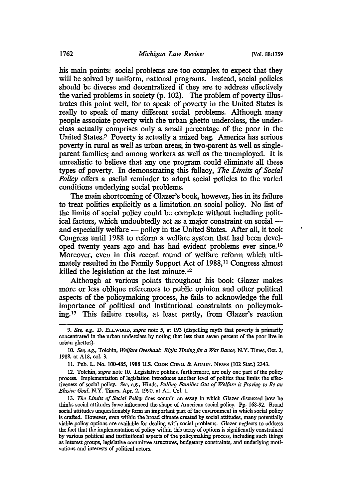his main points: social problems are too complex to expect that they will be solved by uniform, national programs. Instead, social policies should be diverse and decentralized if they are to address effectively the varied problems in society (p. 102). The problem of poverty illustrates this point well, for to speak of poverty in the United States is really to speak of many different social problems. Although many people associate poverty with the urban ghetto underclass, the underclass actually comprises only a small percentage of the poor in the United States.9 Poverty is actually a mixed bag. America has serious poverty in rural as well as urban areas; in two-parent as well as singleparent families; and among workers as well as the unemployed. It is unrealistic to believe that any one program could eliminate all these types of poverty. In demonstrating this fallacy, *The Limits of Social Policy* offers a useful reminder to adapt social policies to the varied conditions underlying social problems.

The main shortcoming of Glazer's book, however, lies in its failure to treat politics explicitly as a limitation on social policy. No list of the limits of social policy could be complete without including political factors, which undoubtedly act as a major constraint on social and especially welfare - policy in the United States. After all, it took Congress until 1988 to reform a welfare system that had been developed twenty years ago and has had evident problems ever since. <sup>10</sup> Moreover, even in this recent round of welfare reform which ultimately resulted in the Family Support Act of 1988,<sup>11</sup> Congress almost killed the legislation at the last minute.<sup>12</sup>

Although at various points throughout his book Glazer makes more or less oblique references to public opinion and other political aspects of the policymaking process, he fails to acknowledge the full importance of political and institutional constraints on policymaking.<sup>13</sup> This failure results, at least partly, from Glazer's reaction

12. Tolchin, *supra* note 10. Legislative politics, furthermore, are only one part of the policy process. Implementation of legislation introduces another level of politics that limits the effectiveness of social policy. *See, e.g.,* Hinds, *Pulling Families Out of Welfare is Proving to Be an Elusive Goal,* N.Y. Times, Apr. 2, 1990, at Al, Col. 1.

13. *The Limits of Social Policy* does contain an essay in which Glazer discussed how he thinks social attitudes have influenced the shape of American social policy. Pp. 168-92. Broad social attitudes unquestionably form an important part of the environment in which social policy is crafted. However, even within the broad climate created by social attitudes, many potentially viable policy options are available for dealing with social problems. Glazer neglects to address the fact that the implementation of policy within this array of options is significantly constrained by various political and institutional aspects of the policymaking process, including such things as interest groups, legislative committee structures, budgetary constraints, and underlying motivations and interests of political actors.

<sup>9.</sup> *See, e.g.,* D. ELLWOOD, *supra* note *5,* at 193 (dispelling myth that poverty is primarily concentrated in the urban underclass by noting that less than seven percent of the poor live in urban ghettos).

<sup>10.</sup> *See, e.g.,* Tolchin, *Welfare Overhaul: Right Timing for a War Dance,* N.Y. Times, Oct. 3, 1988, at Al8, col. 3.

<sup>11.</sup> Pub. L. No. 100-485, 1988 U.S. CODE CONG. & ADMIN. NEWS (102 Stat.) 2343.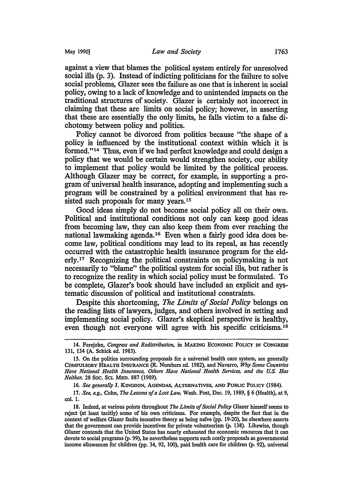against a view that blames the political system entirely for unresolved social ills (p. 3). Instead of indicting politicians for the failure to solve social problems, Glazer sees the failure as one that is inherent in social policy, owing to a lack of knowledge and to unintended impacts on the traditional structures of society. Glazer is certainly not incorrect in claiming that these are limits on social policy; however, in asserting that these are essentially the only limits, he falls victim to a false dichotomy between policy and politics.

Policy cannot be divorced from politics because "the shape of a policy is influenced by the institutional context within which it is formed."14 Thus, even if we had perfect knowledge and could design a policy that we would be certain would strengthen society, our ability to implement that policy would be limited by the political process. Although Glazer may be correct, for example, in supporting a program of universal health insurance, adopting and implementing such a program will be constrained by a political environment that has resisted such proposals for many years.<sup>15</sup>

Good ideas simply do not become social policy all on their own. Political and institutional conditions not only can keep good ideas from becoming law, they can also keep them from ever reaching the national lawmaking agenda.16 Even when a fairly good idea does become law, political conditions may lead to its repeal, as has recently occurred with the catastrophic health insurance program for the elderly.17 Recognizing the political constraints on policymaking is not necessarily to "blame" the political system for social ills, but rather is to recognize the reality in which social policy must be formulated. To be complete, Glazer's book should have included an explicit and systematic discussion of political and institutional constraints.

Despite this shortcoming, *The Limits of Social Policy* belongs on the reading lists of lawyers, judges, and others involved in setting and implementing social policy. Glazer's skeptical perspective is healthy, even though not everyone will agree with his specific criticisms.18

<sup>14.</sup> Ferejohn, *Congress and Redistribution,* in MAKING EcONOMIC POLICY IN CONGRESS 131, 134 (A. Schick ed. 1983).

<sup>15.</sup> On the politics surrounding proposals for a universal health care system, see generally COMPULSORY HEALTH INSURANCE (R. Numbers ed. 1982), and Navarro, *Why Some Countries Have National Health Insurance, Others Have National Health Services, and the* U.S. *Has Neither,* 28 Soc. SCI. MED. 887 (1989).

<sup>16.</sup> *See generally* J. KINGDON, AGENDAS, ALTERNATIVES, AND PUBLIC POLICY (1984).

<sup>17.</sup> *See, e.g.,* Cohn, *The Lessons of a Lost Low,* Wash. Post, Dec. 19, 1989, § 6 (Health), at 9, col. 1.

<sup>18.</sup> Indeed, at various points throughout *The Limits of Social Policy* Glazer himself seems to reject (at least tacitly) some of his own criticisms. For example, despite the fact that in the context of welfare Glazer faults incentive theory as being naive (pp. 19-20), he elsewhere asserts that the government can provide incentives for private volunteerism (p. 138). Likewise, though Glazer contends that the United States has nearly exhausted the economic resources that it can devote to social programs (p. 99), he nevertheless supports such costly proposals as governmental income allowances for children (pp. 34, 92, 100), paid health care for children (p. 92), universal